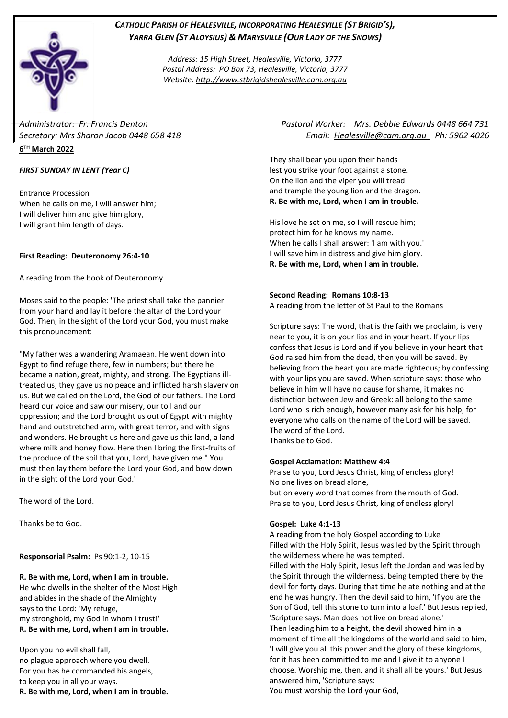

# *CATHOLIC PARISH OF HEALESVILLE, INCORPORATING HEALESVILLE (ST BRIGID'S), YARRA GLEN (ST ALOYSIUS) & MARYSVILLE (OUR LADY OF THE SNOWS)*

*Address: 15 High Street, Healesville, Victoria, 3777 Postal Address: PO Box 73, Healesville, Victoria, 3777 Website: [http://www.stbrigidshealesville.cam.org.au](http://www.stbrigidshealesville.cam.org.au/)*

**6 TH March 2022**

## *FIRST SUNDAY IN LENT (Year C)*

Entrance Procession When he calls on me, I will answer him; I will deliver him and give him glory, I will grant him length of days.

### **First Reading: Deuteronomy 26:4-10**

### A reading from the book of Deuteronomy

Moses said to the people: 'The priest shall take the pannier from your hand and lay it before the altar of the Lord your God. Then, in the sight of the Lord your God, you must make this pronouncement:

"My father was a wandering Aramaean. He went down into Egypt to find refuge there, few in numbers; but there he became a nation, great, mighty, and strong. The Egyptians illtreated us, they gave us no peace and inflicted harsh slavery on us. But we called on the Lord, the God of our fathers. The Lord heard our voice and saw our misery, our toil and our oppression; and the Lord brought us out of Egypt with mighty hand and outstretched arm, with great terror, and with signs and wonders. He brought us here and gave us this land, a land where milk and honey flow. Here then I bring the first-fruits of the produce of the soil that you, Lord, have given me." You must then lay them before the Lord your God, and bow down in the sight of the Lord your God.'

The word of the Lord.

Thanks be to God.

**Responsorial Psalm:** Ps 90:1-2, 10-15

### **R. Be with me, Lord, when I am in trouble.**

He who dwells in the shelter of the Most High and abides in the shade of the Almighty says to the Lord: 'My refuge, my stronghold, my God in whom I trust!' **R. Be with me, Lord, when I am in trouble.**

Upon you no evil shall fall, no plague approach where you dwell. For you has he commanded his angels, to keep you in all your ways. **R. Be with me, Lord, when I am in trouble.**

*Administrator: Fr. Francis Denton Pastoral Worker: Mrs. Debbie Edwards 0448 664 731 Secretary: Mrs Sharon Jacob 0448 658 418 Email: [Healesville@cam.org.au](mailto:Healesville@cam.org.au) Ph: 5962 4026* 

> They shall bear you upon their hands lest you strike your foot against a stone. On the lion and the viper you will tread and trample the young lion and the dragon. **R. Be with me, Lord, when I am in trouble.**

His love he set on me, so I will rescue him; protect him for he knows my name. When he calls I shall answer: 'I am with you.' I will save him in distress and give him glory. **R. Be with me, Lord, when I am in trouble.**

#### **Second Reading: Romans 10:8-13** A reading from the letter of St Paul to the Romans

Scripture says: The word, that is the faith we proclaim, is very near to you, it is on your lips and in your heart. If your lips confess that Jesus is Lord and if you believe in your heart that God raised him from the dead, then you will be saved. By believing from the heart you are made righteous; by confessing with your lips you are saved. When scripture says: those who believe in him will have no cause for shame, it makes no distinction between Jew and Greek: all belong to the same Lord who is rich enough, however many ask for his help, for everyone who calls on the name of the Lord will be saved. The word of the Lord. Thanks be to God.

**Gospel Acclamation: Matthew 4:4**

Praise to you, Lord Jesus Christ, king of endless glory! No one lives on bread alone, but on every word that comes from the mouth of God. Praise to you, Lord Jesus Christ, king of endless glory!

## **Gospel: Luke 4:1-13**

A reading from the holy Gospel according to Luke Filled with the Holy Spirit, Jesus was led by the Spirit through the wilderness where he was tempted.

Filled with the Holy Spirit, Jesus left the Jordan and was led by the Spirit through the wilderness, being tempted there by the devil for forty days. During that time he ate nothing and at the end he was hungry. Then the devil said to him, 'If you are the Son of God, tell this stone to turn into a loaf.' But Jesus replied, 'Scripture says: Man does not live on bread alone.' Then leading him to a height, the devil showed him in a moment of time all the kingdoms of the world and said to him, 'I will give you all this power and the glory of these kingdoms, for it has been committed to me and I give it to anyone I choose. Worship me, then, and it shall all be yours.' But Jesus answered him, 'Scripture says:

You must worship the Lord your God,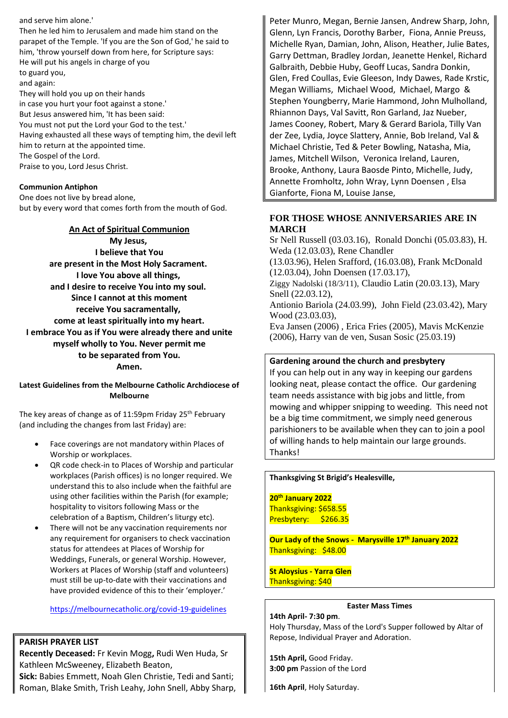and serve him alone.'

Then he led him to Jerusalem and made him stand on the parapet of the Temple. 'If you are the Son of God,' he said to him, 'throw yourself down from here, for Scripture says: He will put his angels in charge of you to guard you, and again: They will hold you up on their hands in case you hurt your foot against a stone.' But Jesus answered him, 'It has been said: You must not put the Lord your God to the test.' Having exhausted all these ways of tempting him, the devil left him to return at the appointed time. The Gospel of the Lord. Praise to you, Lord Jesus Christ.

### **Communion Antiphon**

One does not live by bread alone, but by every word that comes forth from the mouth of God.

#### **An Act of Spiritual Communion**

**My Jesus, I believe that You are present in the Most Holy Sacrament. I love You above all things, and I desire to receive You into my soul. Since I cannot at this moment receive You sacramentally, come at least spiritually into my heart. I embrace You as if You were already there and unite myself wholly to You. Never permit me to be separated from You. Amen.**

### **Latest Guidelines from the Melbourne Catholic Archdiocese of Melbourne**

The key areas of change as of 11:59pm Friday 25<sup>th</sup> February (and including the changes from last Friday) are:

- Face coverings are not mandatory within Places of Worship or workplaces.
- QR code check-in to Places of Worship and particular workplaces (Parish offices) is no longer required. We understand this to also include when the faithful are using other facilities within the Parish (for example; hospitality to visitors following Mass or the celebration of a Baptism, Children's liturgy etc).
- There will not be any vaccination requirements nor any requirement for organisers to check vaccination status for attendees at Places of Worship for Weddings, Funerals, or general Worship. However, Workers at Places of Worship (staff and volunteers) must still be up-to-date with their vaccinations and have provided evidence of this to their 'employer.'

<https://melbournecatholic.org/covid-19-guidelines>

### **PARISH PRAYER LIST**

**Recently Deceased:** Fr Kevin Mogg**,** Rudi Wen Huda, Sr Kathleen McSweeney, Elizabeth Beaton,

**Sick:** Babies Emmett, Noah Glen Christie, Tedi and Santi; Roman, Blake Smith, Trish Leahy, John Snell, Abby Sharp, Peter Munro, Megan, Bernie Jansen, Andrew Sharp, John, Glenn, Lyn Francis, Dorothy Barber, Fiona, Annie Preuss, Michelle Ryan, Damian, John, Alison, Heather, Julie Bates, Garry Dettman, Bradley Jordan, Jeanette Henkel, Richard Galbraith, Debbie Huby, Geoff Lucas, Sandra Donkin, Glen, Fred Coullas, Evie Gleeson, Indy Dawes, Rade Krstic, Megan Williams, Michael Wood, Michael, Margo & Stephen Youngberry, Marie Hammond, John Mulholland, Rhiannon Days, Val Savitt, Ron Garland, Jaz Nueber, James Cooney, Robert, Mary & Gerard Bariola, Tilly Van der Zee, Lydia, Joyce Slattery, Annie, Bob Ireland, Val & Michael Christie, Ted & Peter Bowling, Natasha, Mia, James, Mitchell Wilson, Veronica Ireland, Lauren, Brooke, Anthony, Laura Baosde Pinto, Michelle, Judy, Annette Fromholtz, John Wray, Lynn Doensen , Elsa Gianforte, Fiona M, Louise Janse,

## **FOR THOSE WHOSE ANNIVERSARIES ARE IN MARCH**

Sr Nell Russell (03.03.16), Ronald Donchi (05.03.83), H. Weda (12.03.03), Rene Chandler (13.03.96), Helen Srafford, (16.03.08), Frank McDonald (12.03.04), John Doensen (17.03.17), Ziggy Nadolski (18/3/11), Claudio Latin (20.03.13), Mary Snell (22.03.12), Antionio Bariola (24.03.99), John Field (23.03.42), Mary Wood (23.03.03), Eva Jansen (2006) , Erica Fries (2005), Mavis McKenzie (2006), Harry van de ven, Susan Sosic (25.03.19)

## **Gardening around the church and presbytery**

If you can help out in any way in keeping our gardens looking neat, please contact the office. Our gardening team needs assistance with big jobs and little, from mowing and whipper snipping to weeding. This need not be a big time commitment, we simply need generous parishioners to be available when they can to join a pool of willing hands to help maintain our large grounds. Thanks!

## **Thanksgiving St Brigid's Healesville,**

**20th January 2022**  Thanksgiving: \$658.55 Presbytery: \$266.35

**Our Lady of the Snows - Marysville 17th January 2022** Thanksgiving: \$48.00

**St Aloysius - Yarra Glen**  Thanksgiving: \$40

## **Easter Mass Times**

### **14th April- 7:30 pm**.

Holy Thursday, Mass of the Lord's Supper followed by Altar of Repose, Individual Prayer and Adoration.

**15th April,** Good Friday. **3:00 pm** Passion of the Lord

**16th April**, Holy Saturday.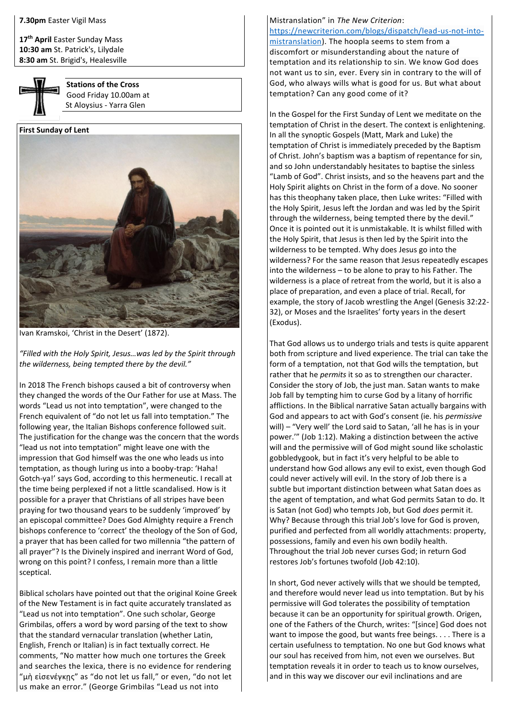**7.30pm** Easter Vigil Mass

**17th April** Easter Sunday Mass **10:30 am** St. Patrick's, Lilydale **8:30 am** St. Brigid's, Healesville



**Stations of the Cross** Good Friday 10.00am at St Aloysius - Yarra Glen

#### **First Sunday of Lent**



Ivan Kramskoi, 'Christ in the Desert' (1872).

*"Filled with the Holy Spirit, Jesus…was led by the Spirit through the wilderness, being tempted there by the devil."*

In 2018 The French bishops caused a bit of controversy when they changed the words of the Our Father for use at Mass. The words "Lead us not into temptation", were changed to the French equivalent of "do not let us fall into temptation." The following year, the Italian Bishops conference followed suit. The justification for the change was the concern that the words "lead us not into temptation" might leave one with the impression that God himself was the one who leads us into temptation, as though luring us into a booby-trap: 'Haha! Gotch-ya!' says God, according to this hermeneutic. I recall at the time being perplexed if not a little scandalised. How is it possible for a prayer that Christians of all stripes have been praying for two thousand years to be suddenly 'improved' by an episcopal committee? Does God Almighty require a French bishops conference to 'correct' the theology of the Son of God, a prayer that has been called for two millennia "the pattern of all prayer"? Is the Divinely inspired and inerrant Word of God, wrong on this point? I confess, I remain more than a little sceptical.

Biblical scholars have pointed out that the original Koine Greek of the New Testament is in fact quite accurately translated as "Lead us not into temptation". One such scholar, George Grimbilas, offers a word by word parsing of the text to show that the standard vernacular translation (whether Latin, English, French or Italian) is in fact textually correct. He comments, "No matter how much one tortures the Greek and searches the lexica, there is no evidence for rendering "μὴ εἰσενέγκῃς" as "do not let us fall," or even, "do not let us make an error." (George Grimbilas "Lead us not into

### Mistranslation" in *The New Criterion*:

[https://newcriterion.com/blogs/dispatch/lead-us-not-into](https://newcriterion.com/blogs/dispatch/lead-us-not-into-mistranslation)[mistranslation\)](https://newcriterion.com/blogs/dispatch/lead-us-not-into-mistranslation). The hoopla seems to stem from a discomfort or misunderstanding about the nature of temptation and its relationship to sin. We know God does not want us to sin, ever. Every sin in contrary to the will of God, who always wills what is good for us. But what about temptation? Can any good come of it?

In the Gospel for the First Sunday of Lent we meditate on the temptation of Christ in the desert. The context is enlightening. In all the synoptic Gospels (Matt, Mark and Luke) the temptation of Christ is immediately preceded by the Baptism of Christ. John's baptism was a baptism of repentance for sin, and so John understandably hesitates to baptise the sinless "Lamb of God". Christ insists, and so the heavens part and the Holy Spirit alights on Christ in the form of a dove. No sooner has this theophany taken place, then Luke writes: "Filled with the Holy Spirit, Jesus left the Jordan and was led by the Spirit through the wilderness, being tempted there by the devil." Once it is pointed out it is unmistakable. It is whilst filled with the Holy Spirit, that Jesus is then led by the Spirit into the wilderness to be tempted. Why does Jesus go into the wilderness? For the same reason that Jesus repeatedly escapes into the wilderness – to be alone to pray to his Father. The wilderness is a place of retreat from the world, but it is also a place of preparation, and even a place of trial. Recall, for example, the story of Jacob wrestling the Angel (Genesis 32:22- 32), or Moses and the Israelites' forty years in the desert (Exodus).

That God allows us to undergo trials and tests is quite apparent both from scripture and lived experience. The trial can take the form of a temptation, not that God wills the temptation, but rather that he *permits* it so as to strengthen our character. Consider the story of Job, the just man. Satan wants to make Job fall by tempting him to curse God by a litany of horrific afflictions. In the Biblical narrative Satan actually bargains with God and appears to act with God's consent (ie. his *permissive*  will) – "Very well' the Lord said to Satan, 'all he has is in your power.'" (Job 1:12). Making a distinction between the active will and the permissive will of God might sound like scholastic gobbledygook, but in fact it's very helpful to be able to understand how God allows any evil to exist, even though God could never actively will evil. In the story of Job there is a subtle but important distinction between what Satan does as the agent of temptation, and what God permits Satan to do. It is Satan (not God) who tempts Job, but God *does* permit it. Why? Because through this trial Job's love for God is proven, purified and perfected from all worldly attachments: property, possessions, family and even his own bodily health. Throughout the trial Job never curses God; in return God restores Job's fortunes twofold (Job 42:10).

In short, God never actively wills that we should be tempted, and therefore would never lead us into temptation. But by his permissive will God tolerates the possibility of temptation because it can be an opportunity for spiritual growth. Origen, one of the Fathers of the Church, writes: "[since] God does not want to impose the good, but wants free beings. . . . There is a certain usefulness to temptation. No one but God knows what our soul has received from him, not even we ourselves. But temptation reveals it in order to teach us to know ourselves, and in this way we discover our evil inclinations and are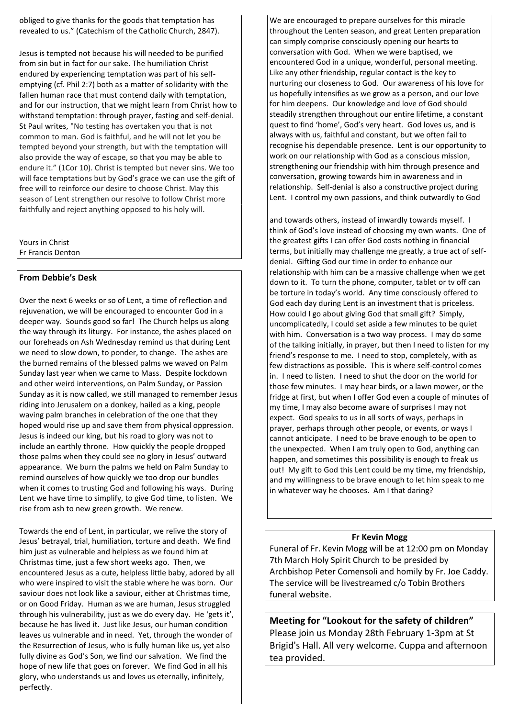obliged to give thanks for the goods that temptation has revealed to us." (Catechism of the Catholic Church, 2847).

Jesus is tempted not because his will needed to be purified from sin but in fact for our sake. The humiliation Christ endured by experiencing temptation was part of his selfemptying (cf. Phil 2:7) both as a matter of solidarity with the fallen human race that must contend daily with temptation, and for our instruction, that we might learn from Christ how to withstand temptation: through prayer, fasting and self-denial. St Paul writes, "No testing has overtaken you that is not common to man. God is faithful, and he will not let you be tempted beyond your strength, but with the temptation will also provide the way of escape, so that you may be able to endure it." (1Cor 10). Christ is tempted but never sins. We too will face temptations but by God's grace we can use the gift of free will to reinforce our desire to choose Christ. May this season of Lent strengthen our resolve to follow Christ more faithfully and reject anything opposed to his holy will.

Yours in Christ Fr Francis Denton

### **From Debbie's Desk**

Over the next 6 weeks or so of Lent, a time of reflection and rejuvenation, we will be encouraged to encounter God in a deeper way. Sounds good so far! The Church helps us along the way through its liturgy. For instance, the ashes placed on our foreheads on Ash Wednesday remind us that during Lent we need to slow down, to ponder, to change. The ashes are the burned remains of the blessed palms we waved on Palm Sunday last year when we came to Mass. Despite lockdown and other weird interventions, on Palm Sunday, or Passion Sunday as it is now called, we still managed to remember Jesus riding into Jerusalem on a donkey, hailed as a king, people waving palm branches in celebration of the one that they hoped would rise up and save them from physical oppression. Jesus is indeed our king, but his road to glory was not to include an earthly throne. How quickly the people dropped those palms when they could see no glory in Jesus' outward appearance. We burn the palms we held on Palm Sunday to remind ourselves of how quickly we too drop our bundles when it comes to trusting God and following his ways. During Lent we have time to simplify, to give God time, to listen. We rise from ash to new green growth. We renew.

Towards the end of Lent, in particular, we relive the story of Jesus' betrayal, trial, humiliation, torture and death. We find him just as vulnerable and helpless as we found him at Christmas time, just a few short weeks ago. Then, we encountered Jesus as a cute, helpless little baby, adored by all who were inspired to visit the stable where he was born. Our saviour does not look like a saviour, either at Christmas time, or on Good Friday. Human as we are human, Jesus struggled through his vulnerability, just as we do every day. He 'gets it', because he has lived it. Just like Jesus, our human condition leaves us vulnerable and in need. Yet, through the wonder of the Resurrection of Jesus, who is fully human like us, yet also fully divine as God's Son, we find our salvation. We find the hope of new life that goes on forever. We find God in all his glory, who understands us and loves us eternally, infinitely, perfectly.

We are encouraged to prepare ourselves for this miracle throughout the Lenten season, and great Lenten preparation can simply comprise consciously opening our hearts to conversation with God. When we were baptised, we encountered God in a unique, wonderful, personal meeting. Like any other friendship, regular contact is the key to nurturing our closeness to God. Our awareness of his love for us hopefully intensifies as we grow as a person, and our love for him deepens. Our knowledge and love of God should steadily strengthen throughout our entire lifetime, a constant quest to find 'home', God's very heart. God loves us, and is always with us, faithful and constant, but we often fail to recognise his dependable presence. Lent is our opportunity to work on our relationship with God as a conscious mission, strengthening our friendship with him through presence and conversation, growing towards him in awareness and in relationship. Self-denial is also a constructive project during Lent. I control my own passions, and think outwardly to God

and towards others, instead of inwardly towards myself. I think of God's love instead of choosing my own wants. One of the greatest gifts I can offer God costs nothing in financial terms, but initially may challenge me greatly, a true act of selfdenial. Gifting God our time in order to enhance our relationship with him can be a massive challenge when we get down to it. To turn the phone, computer, tablet or tv off can be torture in today's world. Any time consciously offered to God each day during Lent is an investment that is priceless. How could I go about giving God that small gift? Simply, uncomplicatedly, I could set aside a few minutes to be quiet with him. Conversation is a two way process. I may do some of the talking initially, in prayer, but then I need to listen for my friend's response to me. I need to stop, completely, with as few distractions as possible. This is where self-control comes in. I need to listen. I need to shut the door on the world for those few minutes. I may hear birds, or a lawn mower, or the fridge at first, but when I offer God even a couple of minutes of my time, I may also become aware of surprises I may not expect. God speaks to us in all sorts of ways, perhaps in prayer, perhaps through other people, or events, or ways I cannot anticipate. I need to be brave enough to be open to the unexpected. When I am truly open to God, anything can happen, and sometimes this possibility is enough to freak us out! My gift to God this Lent could be my time, my friendship, and my willingness to be brave enough to let him speak to me in whatever way he chooses. Am I that daring?

### **Fr Kevin Mogg**

Funeral of Fr. Kevin Mogg will be at 12:00 pm on Monday 7th March Holy Spirit Church to be presided by Archbishop Peter Comensoli and homily by Fr. Joe Caddy. The service will be livestreamed c/o Tobin Brothers funeral website.

**Meeting for "Lookout for the safety of children"** Please join us Monday 28th February 1-3pm at St Brigid's Hall. All very welcome. Cuppa and afternoon tea provided.